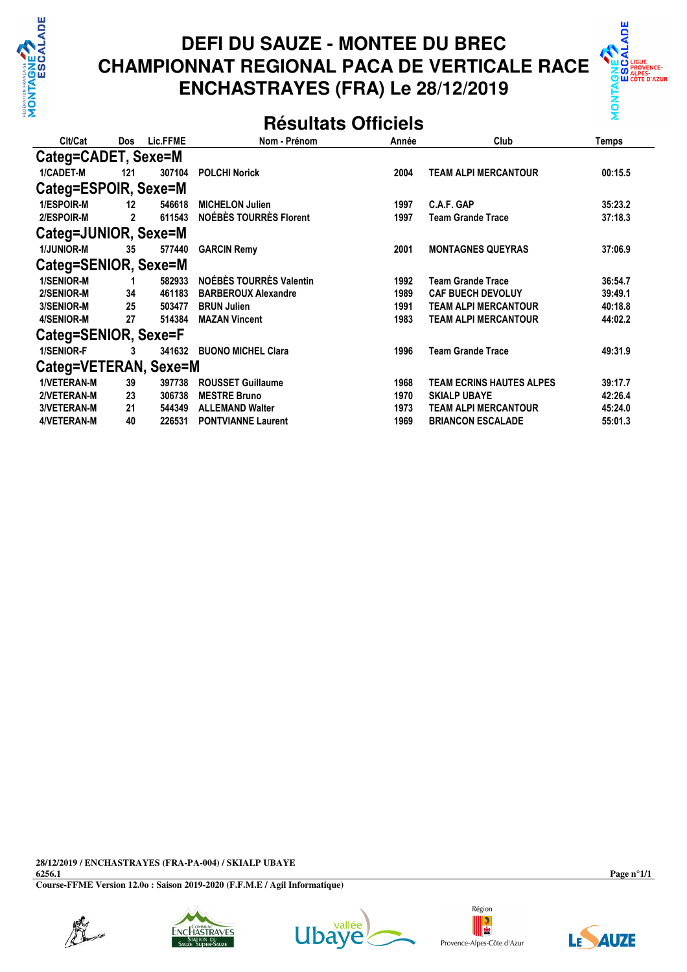

# **DEFI DU SAUZE - MONTEE DU BREC CHAMPIONNAT REGIONAL PACA DE VERTICALE RACE ENCHASTRAYES (FRA) Le 28/12/2019**



#### **Résultats Officiels**

| Clt/Cat               | Dos            | Lic.FFME | Nom - Prénom                  | Année | Club                            | Temps   |  |  |
|-----------------------|----------------|----------|-------------------------------|-------|---------------------------------|---------|--|--|
| Categ=CADET, Sexe=M   |                |          |                               |       |                                 |         |  |  |
| 1/CADET-M             | 121            | 307104   | <b>POLCHI Norick</b>          | 2004  | <b>TEAM ALPI MERCANTOUR</b>     | 00:15.5 |  |  |
| Categ=ESPOIR, Sexe=M  |                |          |                               |       |                                 |         |  |  |
| 1/ESPOIR-M            | 12             | 546618   | <b>MICHELON Julien</b>        | 1997  | C.A.F. GAP                      | 35:23.2 |  |  |
| <b>2/ESPOIR-M</b>     | $\overline{2}$ | 611543   | <b>NOÉBÈS TOURRÈS Florent</b> | 1997  | <b>Team Grande Trace</b>        | 37:18.3 |  |  |
| Categ=JUNIOR, Sexe=M  |                |          |                               |       |                                 |         |  |  |
| <b>1/JUNIOR-M</b>     | 35             | 577440   | <b>GARCIN Remy</b>            | 2001  | <b>MONTAGNES QUEYRAS</b>        | 37:06.9 |  |  |
| Categ=SENIOR, Sexe=M  |                |          |                               |       |                                 |         |  |  |
| 1/SENIOR-M            | 1              | 582933   | NOÉBÈS TOURRÈS Valentin       | 1992  | <b>Team Grande Trace</b>        | 36:54.7 |  |  |
| 2/SENIOR-M            | 34             | 461183   | <b>BARBEROUX Alexandre</b>    | 1989  | <b>CAF BUECH DEVOLUY</b>        | 39:49.1 |  |  |
| 3/SENIOR-M            | 25             | 503477   | <b>BRUN Julien</b>            | 1991  | <b>TEAM ALPI MERCANTOUR</b>     | 40:18.8 |  |  |
| 4/SENIOR-M            | 27             | 514384   | <b>MAZAN Vincent</b>          | 1983  | <b>TEAM ALPI MERCANTOUR</b>     | 44:02.2 |  |  |
| Categ=SENIOR, Sexe=F  |                |          |                               |       |                                 |         |  |  |
| 1/SENIOR-F            | 3              |          | 341632 BUONO MICHEL Clara     | 1996  | <b>Team Grande Trace</b>        | 49:31.9 |  |  |
| Categ=VETERAN, Sexe=M |                |          |                               |       |                                 |         |  |  |
| <b>1/VETERAN-M</b>    | 39             | 397738   | <b>ROUSSET Guillaume</b>      | 1968  | <b>TEAM ECRINS HAUTES ALPES</b> | 39:17.7 |  |  |
| 2/VETERAN-M           | 23             | 306738   | <b>MESTRE Bruno</b>           | 1970  | <b>SKIALP UBAYE</b>             | 42:26.4 |  |  |
| 3/VETERAN-M           | 21             | 544349   | <b>ALLEMAND Walter</b>        | 1973  | <b>TEAM ALPI MERCANTOUR</b>     | 45:24.0 |  |  |
| 4/VETERAN-M           | 40             | 226531   | <b>PONTVIANNE Laurent</b>     | 1969  | <b>BRIANCON ESCALADE</b>        | 55:01.3 |  |  |

**28/12/2019 / ENCHASTRAYES (FRA-PA-004) / SKIALP UBAYE**

**6256.1 Course-FFME Version 12.0o : Saison 2019-2020 (F.F.M.E / Agil Informatique)** **Page n°1/1**









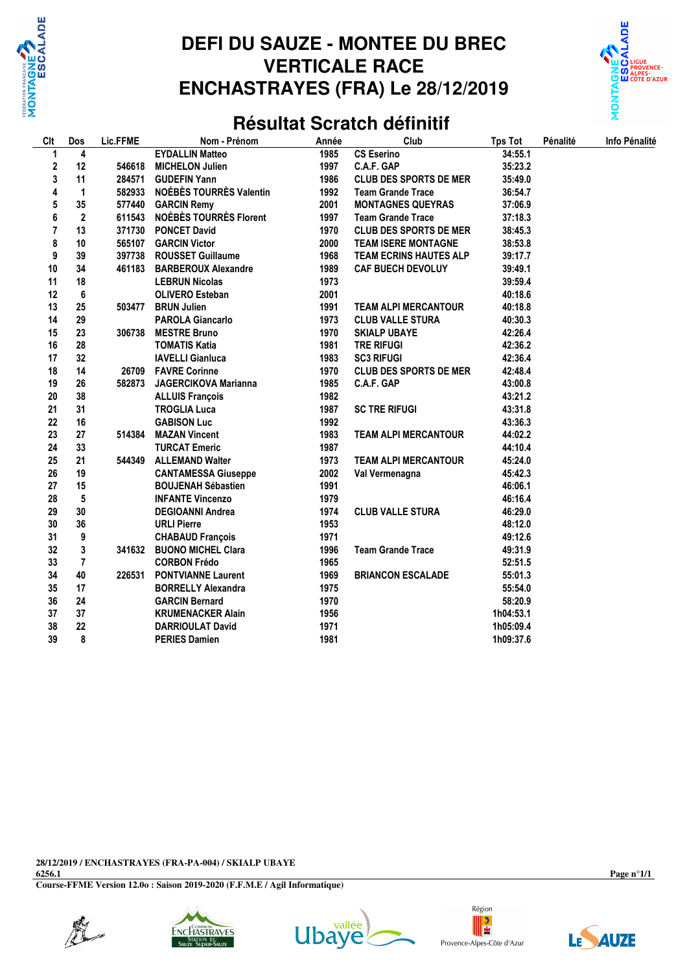

## **DEFI DU SAUZE - MONTEE DU BREC VERTICALE RACE ENCHASTRAYES (FRA) Le 28/12/2019**



#### **Résultat Scratch définitif**

| Clt              | Dos            | Lic.FFME | Nom - Prénom                  | Année | Club                          | <b>Tps Tot</b> | Pénalité | Info Pénalité |
|------------------|----------------|----------|-------------------------------|-------|-------------------------------|----------------|----------|---------------|
| 1                | 4              |          | <b>EYDALLIN Matteo</b>        | 1985  | <b>CS Eserino</b>             | 34:55.1        |          |               |
| 2                | 12             | 546618   | <b>MICHELON Julien</b>        | 1997  | C.A.F. GAP                    | 35:23.2        |          |               |
| 3                | 11             | 284571   | <b>GUDEFIN Yann</b>           | 1986  | <b>CLUB DES SPORTS DE MER</b> | 35:49.0        |          |               |
| 4                | 1              | 582933   | NOÉBÈS TOURRÈS Valentin       | 1992  | <b>Team Grande Trace</b>      | 36:54.7        |          |               |
| 5                | 35             | 577440   | <b>GARCIN Remy</b>            | 2001  | <b>MONTAGNES QUEYRAS</b>      | 37:06.9        |          |               |
| 6                | $\mathbf{2}$   | 611543   | <b>NOÉBÈS TOURRÈS Florent</b> | 1997  | <b>Team Grande Trace</b>      | 37:18.3        |          |               |
| 7                | 13             | 371730   | <b>PONCET David</b>           | 1970  | <b>CLUB DES SPORTS DE MER</b> | 38:45.3        |          |               |
| 8                | 10             | 565107   | <b>GARCIN Victor</b>          | 2000  | <b>TEAM ISERE MONTAGNE</b>    | 38:53.8        |          |               |
| $\boldsymbol{9}$ | 39             | 397738   | <b>ROUSSET Guillaume</b>      | 1968  | <b>TEAM ECRINS HAUTES ALP</b> | 39:17.7        |          |               |
| 10               | 34             | 461183   | <b>BARBEROUX Alexandre</b>    | 1989  | <b>CAF BUECH DEVOLUY</b>      | 39:49.1        |          |               |
| 11               | 18             |          | <b>LEBRUN Nicolas</b>         | 1973  |                               | 39:59.4        |          |               |
| 12               | 6              |          | <b>OLIVERO Esteban</b>        | 2001  |                               | 40:18.6        |          |               |
| 13               | 25             | 503477   | <b>BRUN Julien</b>            | 1991  | <b>TEAM ALPI MERCANTOUR</b>   | 40:18.8        |          |               |
| 14               | 29             |          | <b>PAROLA Giancarlo</b>       | 1973  | <b>CLUB VALLE STURA</b>       | 40:30.3        |          |               |
| 15               | 23             | 306738   | <b>MESTRE Bruno</b>           | 1970  | <b>SKIALP UBAYE</b>           | 42:26.4        |          |               |
| 16               | 28             |          | <b>TOMATIS Katia</b>          | 1981  | <b>TRE RIFUGI</b>             | 42:36.2        |          |               |
| 17               | 32             |          | <b>IAVELLI Gianluca</b>       | 1983  | <b>SC3 RIFUGI</b>             | 42:36.4        |          |               |
| 18               | 14             | 26709    | <b>FAVRE Corinne</b>          | 1970  | <b>CLUB DES SPORTS DE MER</b> | 42:48.4        |          |               |
| 19               | 26             | 582873   | <b>JAGERCIKOVA Marianna</b>   | 1985  | C.A.F. GAP                    | 43:00.8        |          |               |
| 20               | 38             |          | <b>ALLUIS François</b>        | 1982  |                               | 43:21.2        |          |               |
| 21               | 31             |          | <b>TROGLIA Luca</b>           | 1987  | <b>SC TRE RIFUGI</b>          | 43:31.8        |          |               |
| 22               | 16             |          | <b>GABISON Luc</b>            | 1992  |                               | 43:36.3        |          |               |
| 23               | 27             | 514384   | <b>MAZAN Vincent</b>          | 1983  | <b>TEAM ALPI MERCANTOUR</b>   | 44:02.2        |          |               |
| 24               | 33             |          | <b>TURCAT Emeric</b>          | 1987  |                               | 44:10.4        |          |               |
| 25               | 21             | 544349   | <b>ALLEMAND Walter</b>        | 1973  | <b>TEAM ALPI MERCANTOUR</b>   | 45:24.0        |          |               |
| 26               | 19             |          | <b>CANTAMESSA Giuseppe</b>    | 2002  | Val Vermenagna                | 45:42.3        |          |               |
| 27               | 15             |          | <b>BOUJENAH Sébastien</b>     | 1991  |                               | 46:06.1        |          |               |
| 28               | 5              |          | <b>INFANTE Vincenzo</b>       | 1979  |                               | 46:16.4        |          |               |
| 29               | 30             |          | <b>DEGIOANNI Andrea</b>       | 1974  | <b>CLUB VALLE STURA</b>       | 46:29.0        |          |               |
| 30               | 36             |          | <b>URLI Pierre</b>            | 1953  |                               | 48:12.0        |          |               |
| 31               | 9              |          | <b>CHABAUD François</b>       | 1971  |                               | 49:12.6        |          |               |
| 32               | 3              | 341632   | <b>BUONO MICHEL Clara</b>     | 1996  | <b>Team Grande Trace</b>      | 49:31.9        |          |               |
| 33               | $\overline{7}$ |          | <b>CORBON Frédo</b>           | 1965  |                               | 52:51.5        |          |               |
| 34               | 40             | 226531   | <b>PONTVIANNE Laurent</b>     | 1969  | <b>BRIANCON ESCALADE</b>      | 55:01.3        |          |               |
| 35               | 17             |          | <b>BORRELLY Alexandra</b>     | 1975  |                               | 55:54.0        |          |               |
| 36               | 24             |          | <b>GARCIN Bernard</b>         | 1970  |                               | 58:20.9        |          |               |
| 37               | 37             |          | <b>KRUMENACKER Alain</b>      | 1956  |                               | 1h04:53.1      |          |               |
| 38               | 22             |          | <b>DARRIOULAT David</b>       | 1971  |                               | 1h05:09.4      |          |               |
| 39               | 8              |          | <b>PERIES Damien</b>          | 1981  |                               | 1h09:37.6      |          |               |
|                  |                |          |                               |       |                               |                |          |               |

**28/12/2019 / ENCHASTRAYES (FRA-PA-004) / SKIALP UBAYE**

**6256.1 Course-FFME Version 12.0o : Saison 2019-2020 (F.F.M.E / Agil Informatique)** **Page n°1/1**